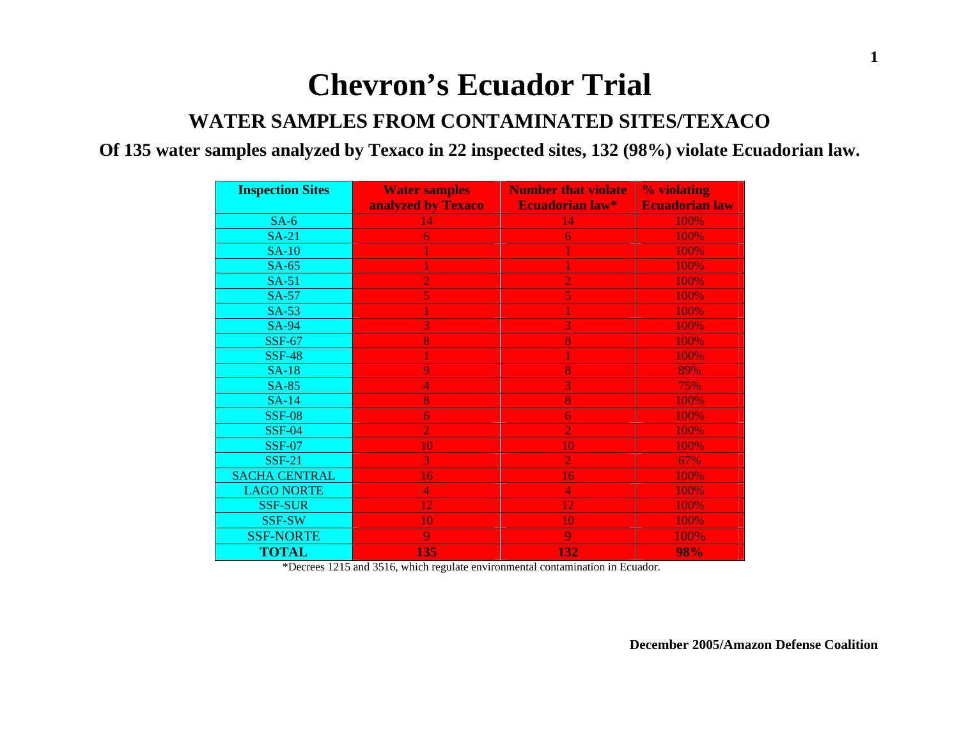# **Chevron's Ecuador Trial**

#### **WATER SAMPLES FROM CONTAMINATED SITES/TEXACO**

#### **Of 135 water samples analyzed by Texaco in 22 inspected sites, 132 (98%) violate Ecuadorian law.**

| <b>Inspection Sites</b> | <b>Number that violate</b><br><b>Water samples</b> |                        | % violating           |  |
|-------------------------|----------------------------------------------------|------------------------|-----------------------|--|
|                         | analyzed by Texaco                                 | <b>Ecuadorian law*</b> | <b>Ecuadorian law</b> |  |
| $SA-6$                  | 14                                                 | 14                     | 100%                  |  |
| $SA-21$                 | $\overline{6}$                                     | 6                      | 100%                  |  |
| $SA-10$                 |                                                    |                        | 100%                  |  |
| $SA-65$                 |                                                    |                        | 100%                  |  |
| $SA-51$                 | $\overline{2}$                                     | $\overline{2}$         | 100%                  |  |
| <b>SA-57</b>            | 5                                                  | 5                      | 100%                  |  |
| $SA-53$                 |                                                    |                        | 100%                  |  |
| <b>SA-94</b>            | 3                                                  | $\overline{3}$         | 100%                  |  |
| <b>SSF-67</b>           | 8                                                  | 8                      | 100%                  |  |
| <b>SSF-48</b>           |                                                    |                        | 100%                  |  |
| <b>SA-18</b>            | 9                                                  | 8                      | 89%                   |  |
| <b>SA-85</b>            | 4                                                  | 3                      | 75%                   |  |
| $SA-14$                 | 8                                                  | 8                      | 100%                  |  |
| <b>SSF-08</b>           | 6                                                  | 6                      | 100%                  |  |
| <b>SSF-04</b>           | $\overline{2}$                                     | $\overline{2}$         | 100%                  |  |
| <b>SSF-07</b>           | 10                                                 | 10                     | 100%                  |  |
| <b>SSF-21</b>           | 3 <sup>1</sup>                                     | $\overline{2}$         | 67%                   |  |
| <b>SACHA CENTRAL</b>    | 16                                                 | 16                     | 100%                  |  |
| <b>LAGO NORTE</b>       | $\overline{4}$                                     | $\overline{4}$         | 100%                  |  |
| <b>SSF-SUR</b>          | 12                                                 | 12                     | 100%                  |  |
| <b>SSF-SW</b>           | 10                                                 | 10                     | 100%                  |  |
| <b>SSF-NORTE</b>        | 9                                                  | 9                      | 100%                  |  |
| <b>TOTAL</b>            | 135                                                | 132                    | 98%                   |  |

\*Decrees 1215 and 3516, which regulate environmental contamination in Ecuador.

**December 2005/Amazon Defense Coalition**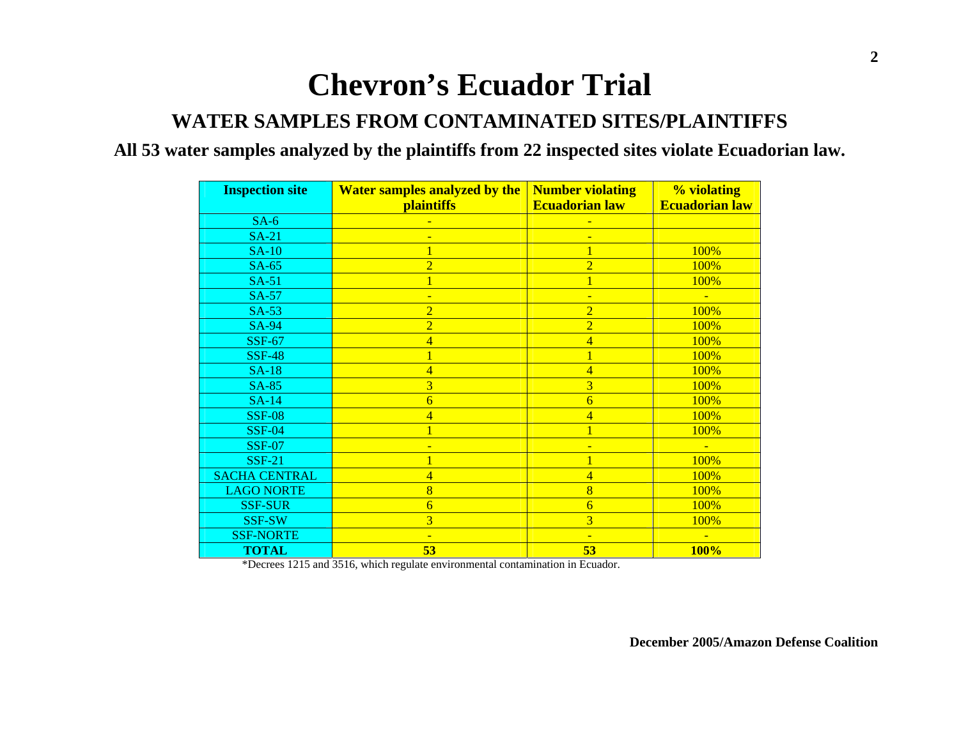# **Chevron's Ecuador Trial**

#### **WATER SAMPLES FROM CONTAMINATED SITES/PLAINTIFFS**

#### **All 53 water samples analyzed by the plaintiffs from 22 inspected sites violate Ecuadorian law.**

| <b>Inspection site</b> | <b>Number violating</b><br><b>Water samples analyzed by the</b> |                          | % violating           |  |
|------------------------|-----------------------------------------------------------------|--------------------------|-----------------------|--|
|                        | <i>plaintiffs</i>                                               | <b>Ecuadorian law</b>    | <b>Ecuadorian law</b> |  |
| $SA-6$                 |                                                                 |                          |                       |  |
| $SA-21$                |                                                                 |                          |                       |  |
| $SA-10$                | $\mathbf{1}$                                                    | $\overline{1}$           | 100%                  |  |
| $SA-65$                | $\overline{2}$                                                  | $\overline{2}$           | 100%                  |  |
| $SA-51$                | 1                                                               | $\overline{1}$           | 100%                  |  |
| $SA-57$                | ٠                                                               |                          |                       |  |
| $SA-53$                | $\overline{2}$                                                  | $\overline{2}$           | 100%                  |  |
| <b>SA-94</b>           | $\overline{2}$                                                  | $\overline{2}$           | 100%                  |  |
| <b>SSF-67</b>          | $\overline{\mathbf{4}}$                                         | $\overline{4}$           | 100%                  |  |
| <b>SSF-48</b>          | 1                                                               | 1                        | 100%                  |  |
| <b>SA-18</b>           | $\overline{4}$                                                  | $\overline{4}$           | 100%                  |  |
| <b>SA-85</b>           | 3                                                               | 3                        | 100%                  |  |
| <b>SA-14</b>           | 6                                                               | $\overline{6}$           | 100%                  |  |
| <b>SSF-08</b>          | 4                                                               | 4                        | 100%                  |  |
| <b>SSF-04</b>          |                                                                 |                          | 100%                  |  |
| <b>SSF-07</b>          |                                                                 |                          |                       |  |
| <b>SSF-21</b>          |                                                                 |                          | 100%                  |  |
| <b>SACHA CENTRAL</b>   | 4                                                               | $\overline{\mathbf{4}}$  | 100%                  |  |
| <b>LAGO NORTE</b>      | 8                                                               | $\overline{8}$           | 100%                  |  |
| <b>SSF-SUR</b>         | $\overline{6}$                                                  | $\overline{6}$           | 100%                  |  |
| <b>SSF-SW</b>          | $\overline{3}$                                                  | $\overline{3}$           | 100%                  |  |
| <b>SSF-NORTE</b>       | $\overline{\phantom{0}}$                                        | $\overline{\phantom{a}}$ | $\equiv$              |  |
| <b>TOTAL</b>           | 53                                                              | 53                       | <b>100%</b>           |  |

\*Decrees 1215 and 3516, which regulate environmental contamination in Ecuador.

**December 2005/Amazon Defense Coalition**